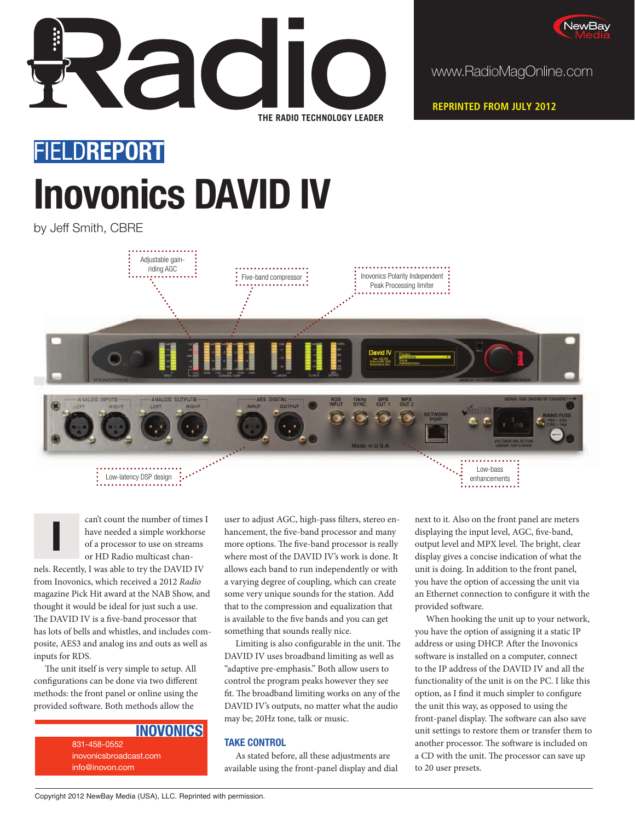



www.RadioMagOnline.com

**REPRINTED FROM JULY 2012**

# FIELD**REPORT Inovonics DAVID IV**

by Jeff Smith, CBRE



can't count the number of times I have needed a simple workhorse of a processor to use on streams or HD Radio multicast chan-

nels. Recently, I was able to try the DAVID IV from Inovonics, which received a 2012 Radio magazine Pick Hit award at the NAB Show, and thought it would be ideal for just such a use. The DAVID IV is a five-band processor that has lots of bells and whistles, and includes composite, AES3 and analog ins and outs as well as inputs for RDS.

**I**

The unit itself is very simple to setup. All configurations can be done via two different methods: the front panel or online using the provided software. Both methods allow the

### **INOVONICS**

831-458-0552 inovonicsbroadcast.com info@inovon.com

user to adjust AGC, high-pass filters, stereo enhancement, the five-band processor and many more options. The five-band processor is really where most of the DAVID IV's work is done. It allows each band to run independently or with a varying degree of coupling, which can create some very unique sounds for the station. Add that to the compression and equalization that is available to the five bands and you can get something that sounds really nice.

Limiting is also configurable in the unit. The DAVID IV uses broadband limiting as well as "adaptive pre-emphasis." Both allow users to control the program peaks however they see fit. The broadband limiting works on any of the DAVID IV's outputs, no matter what the audio may be; 20Hz tone, talk or music.

#### **TAKE CONTROL**

As stated before, all these adjustments are available using the front-panel display and dial next to it. Also on the front panel are meters displaying the input level, AGC, five-band, output level and MPX level. The bright, clear display gives a concise indication of what the unit is doing. In addition to the front panel, you have the option of accessing the unit via an Ethernet connection to configure it with the provided software.

When hooking the unit up to your network, you have the option of assigning it a static IP address or using DHCP. After the Inovonics software is installed on a computer, connect to the IP address of the DAVID IV and all the functionality of the unit is on the PC. I like this option, as I find it much simpler to configure the unit this way, as opposed to using the front-panel display. The software can also save unit settings to restore them or transfer them to another processor. The software is included on a CD with the unit. The processor can save up to 20 user presets.